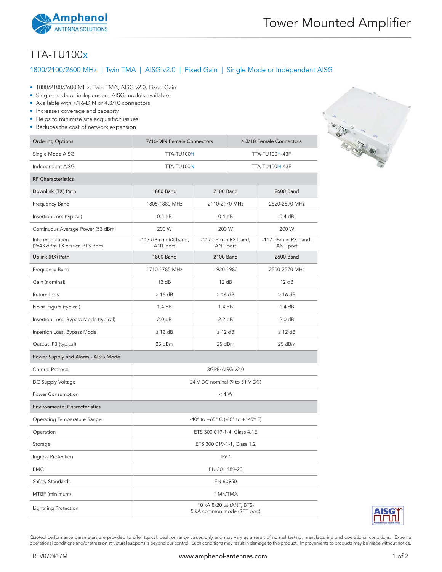

## TTA-TU100x

## 1800/2100/2600 MHz | Twin TMA | AISG v2.0 | Fixed Gain | Single Mode or Independent AISG

- 1800/2100/2600 MHz, Twin TMA, AISG v2.0, Fixed Gain
- Single mode or independent AISG models available
- Available with 7/16-DIN or 4.3/10 connectors
- Increases coverage and capacity
- Helps to minimize site acquisition issues
- Reduces the cost of network expansion

| <b>Ordering Options</b>                            | 7/16-DIN Female Connectors                              |                                  | 4.3/10 Female Connectors |                                  |  |
|----------------------------------------------------|---------------------------------------------------------|----------------------------------|--------------------------|----------------------------------|--|
| Single Mode AISG                                   | TTA-TU100H                                              |                                  |                          | TTA-TU100H-43F                   |  |
| Independent AISG                                   | TTA-TU100N                                              |                                  | <b>TTA-TU100N-43F</b>    |                                  |  |
| <b>RF Characteristics</b>                          |                                                         |                                  |                          |                                  |  |
| Downlink (TX) Path                                 | <b>1800 Band</b>                                        | 2100 Band                        |                          | <b>2600 Band</b>                 |  |
| Frequency Band                                     | 1805-1880 MHz                                           | 2110-2170 MHz                    |                          | 2620-2690 MHz                    |  |
| Insertion Loss (typical)                           | 0.5 dB                                                  | 0.4 dB                           |                          | 0.4 dB                           |  |
| Continuous Average Power (53 dBm)                  | 200 W                                                   | 200 W                            |                          | 200 W                            |  |
| Intermodulation<br>(2x43 dBm TX carrier, BTS Port) | -117 dBm in RX band,<br>ANT port                        | -117 dBm in RX band,<br>ANT port |                          | -117 dBm in RX band,<br>ANT port |  |
| Uplink (RX) Path                                   | <b>1800 Band</b>                                        | 2100 Band                        |                          | <b>2600 Band</b>                 |  |
| Frequency Band                                     | 1710-1785 MHz                                           | 1920-1980                        |                          | 2500-2570 MHz                    |  |
| Gain (nominal)                                     | 12 dB                                                   | 12 dB                            |                          | 12 dB                            |  |
| Return Loss                                        | $\geq 16$ dB                                            | $\geq 16$ dB                     |                          | $\geq 16$ dB                     |  |
| Noise Figure (typical)                             | 1.4 dB                                                  | 1.4dB                            |                          | 1.4 dB                           |  |
| Insertion Loss, Bypass Mode (typical)              | 2.0 dB                                                  | 2.2 dB                           |                          | 2.0 dB                           |  |
| Insertion Loss, Bypass Mode                        | $\geq$ 12 dB                                            | $\geq$ 12 dB                     |                          | $\geq$ 12 dB                     |  |
| Output IP3 (typical)                               | 25 dBm                                                  | 25 dBm                           |                          | 25 dBm                           |  |
| Power Supply and Alarm - AISG Mode                 |                                                         |                                  |                          |                                  |  |
| Control Protocol                                   | 3GPP/AISG v2.0                                          |                                  |                          |                                  |  |
| DC Supply Voltage                                  | 24 V DC nominal (9 to 31 V DC)                          |                                  |                          |                                  |  |
| Power Consumption                                  | $<$ 4 W                                                 |                                  |                          |                                  |  |
| <b>Environmental Characteristics</b>               |                                                         |                                  |                          |                                  |  |
| Operating Temperature Range                        | -40° to +65° C (-40° to +149° F)                        |                                  |                          |                                  |  |
| Operation                                          | ETS 300 019-1-4, Class 4.1E                             |                                  |                          |                                  |  |
| Storage                                            | ETS 300 019-1-1, Class 1.2                              |                                  |                          |                                  |  |
| Ingress Protection                                 | IP67                                                    |                                  |                          |                                  |  |
| <b>EMC</b>                                         | EN 301 489-23                                           |                                  |                          |                                  |  |
| Safety Standards                                   | EN 60950                                                |                                  |                          |                                  |  |
| MTBF (minimum)                                     | 1 Mh/TMA                                                |                                  |                          |                                  |  |
| Lightning Protection                               | 10 kA 8/20 µs (ANT, BTS)<br>5 kA common mode (RET port) |                                  |                          |                                  |  |



Quoted performance parameters are provided to offer typical, peak or range values only and may vary as a result of normal testing, manufacturing and operational conditions. Extreme operational conditions and/or stress on structural supports is beyond our control. Such conditions may result in damage to this product. Improvements to products may be made without notice.